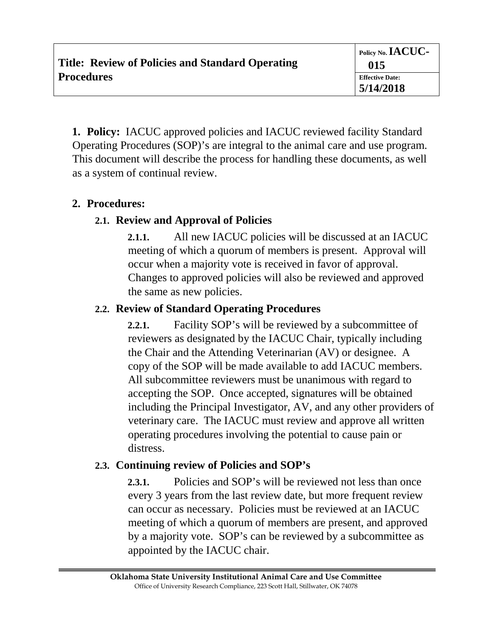**1. Policy:** IACUC approved policies and IACUC reviewed facility Standard Operating Procedures (SOP)'s are integral to the animal care and use program. This document will describe the process for handling these documents, as well as a system of continual review.

### **2. Procedures:**

## **2.1. Review and Approval of Policies**

**2.1.1.** All new IACUC policies will be discussed at an IACUC meeting of which a quorum of members is present. Approval will occur when a majority vote is received in favor of approval. Changes to approved policies will also be reviewed and approved the same as new policies.

## **2.2. Review of Standard Operating Procedures**

**2.2.1.** Facility SOP's will be reviewed by a subcommittee of reviewers as designated by the IACUC Chair, typically including the Chair and the Attending Veterinarian (AV) or designee. A copy of the SOP will be made available to add IACUC members. All subcommittee reviewers must be unanimous with regard to accepting the SOP. Once accepted, signatures will be obtained including the Principal Investigator, AV, and any other providers of veterinary care. The IACUC must review and approve all written operating procedures involving the potential to cause pain or distress.

## **2.3. Continuing review of Policies and SOP's**

**2.3.1.** Policies and SOP's will be reviewed not less than once every 3 years from the last review date, but more frequent review can occur as necessary. Policies must be reviewed at an IACUC meeting of which a quorum of members are present, and approved by a majority vote. SOP's can be reviewed by a subcommittee as appointed by the IACUC chair.